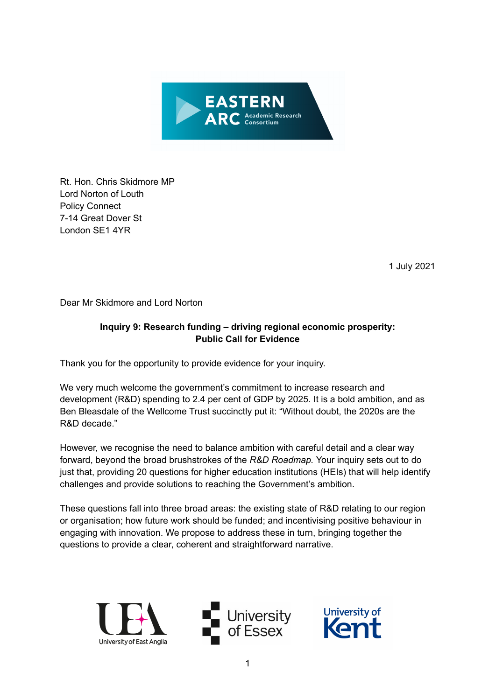

Rt. Hon. Chris Skidmore MP Lord Norton of Louth Policy Connect 7-14 Great Dover St London SE1 4YR

1 July 2021

Dear Mr Skidmore and Lord Norton

# **Inquiry 9: Research funding – driving regional economic prosperity: Public Call for Evidence**

Thank you for the opportunity to provide evidence for your inquiry.

We very much welcome the government's commitment to increase research and development (R&D) spending to 2.4 per cent of GDP by 2025. It is a bold ambition, and as Ben Bleasdale of the Wellcome Trust succinctly put it: "Without doubt, the 2020s are the R&D decade."

However, we recognise the need to balance ambition with careful detail and a clear way forward, beyond the broad brushstrokes of the *R&D Roadmap.* Your inquiry sets out to do just that, providing 20 questions for higher education institutions (HEIs) that will help identify challenges and provide solutions to reaching the Government's ambition.

These questions fall into three broad areas: the existing state of R&D relating to our region or organisation; how future work should be funded; and incentivising positive behaviour in engaging with innovation. We propose to address these in turn, bringing together the questions to provide a clear, coherent and straightforward narrative.





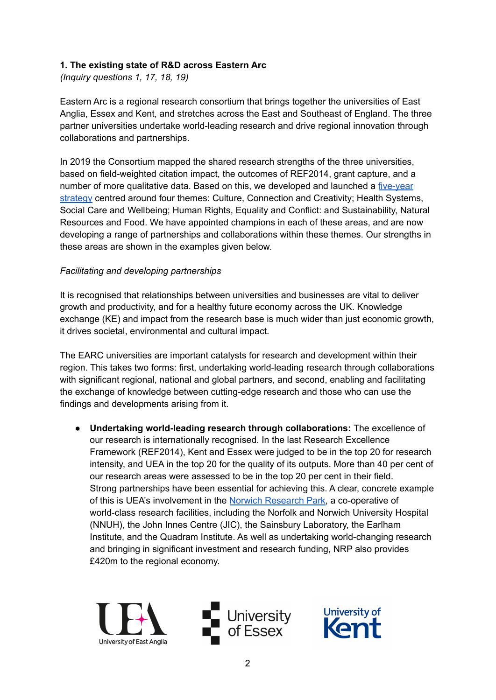## **1. The existing state of R&D across Eastern Arc**

*(Inquiry questions 1, 17, 18, 19)*

Eastern Arc is a regional research consortium that brings together the universities of East Anglia, Essex and Kent, and stretches across the East and Southeast of England. The three partner universities undertake world-leading research and drive regional innovation through collaborations and partnerships.

In 2019 the Consortium mapped the shared research strengths of the three universities, based on field-weighted citation impact, the outcomes of REF2014, grant capture, and a number of more qualitative data. Based on this, we developed and launched a [five-year](https://easternarc.ac.uk/our-strategy-2020-25/) [strategy](https://easternarc.ac.uk/our-strategy-2020-25/) centred around four themes: Culture, Connection and Creativity; Health Systems, Social Care and Wellbeing; Human Rights, Equality and Conflict: and Sustainability, Natural Resources and Food. We have appointed champions in each of these areas, and are now developing a range of partnerships and collaborations within these themes. Our strengths in these areas are shown in the examples given below.

# *Facilitating and developing partnerships*

It is recognised that relationships between universities and businesses are vital to deliver growth and productivity, and for a healthy future economy across the UK. Knowledge exchange (KE) and impact from the research base is much wider than just economic growth, it drives societal, environmental and cultural impact.

The EARC universities are important catalysts for research and development within their region. This takes two forms: first, undertaking world-leading research through collaborations with significant regional, national and global partners, and second, enabling and facilitating the exchange of knowledge between cutting-edge research and those who can use the findings and developments arising from it.

● **Undertaking world-leading research through collaborations:** The excellence of our research is internationally recognised. In the last Research Excellence Framework (REF2014), Kent and Essex were judged to be in the top 20 for research intensity, and UEA in the top 20 for the quality of its outputs. More than 40 per cent of our research areas were assessed to be in the top 20 per cent in their field. Strong partnerships have been essential for achieving this. A clear, concrete example of this is UEA's involvement in the Norwich [Research](https://www.norwichresearchpark.com/) Park, a co-operative of world-class research facilities, including the Norfolk and Norwich University Hospital (NNUH), the John Innes Centre (JIC), the Sainsbury Laboratory, the Earlham Institute, and the Quadram Institute. As well as undertaking world-changing research and bringing in significant investment and research funding, NRP also provides £420m to the regional economy.





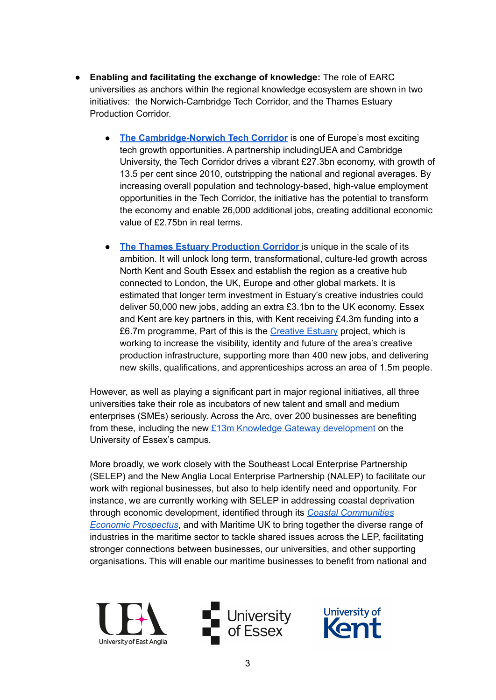- **Enabling and facilitating the exchange of knowledge:** The role of EARC universities as anchors within the regional knowledge ecosystem are shown in two initiatives: the Norwich-Cambridge Tech Corridor, and the Thames Estuary Production Corridor.
	- **The [Cambridge-Norwich](https://www.techcorridor.co.uk/) Tech Corridor** is one of Europe's most exciting tech growth opportunities. A partnership includingUEA and Cambridge University, the Tech Corridor drives a vibrant £27.3bn economy, with growth of 13.5 per cent since 2010, outstripping the national and regional averages. By increasing overall population and technology-based, high-value employment opportunities in the Tech Corridor, the initiative has the potential to transform the economy and enable 26,000 additional jobs, creating additional economic value of £2.75bn in real terms.
	- **The Thames Estuary [Production](https://www.southeastlep.com/government-awards-4-3m-to-develop-the-thames-estuary-production-corridor-putting-the-creative-industries-at-the-heart-of-the-estuarys-industrial-strategy/) Corridor** is unique in the scale of its ambition. It will unlock long term, transformational, culture-led growth across North Kent and South Essex and establish the region as a creative hub connected to London, the UK, Europe and other global markets. It is estimated that longer term investment in Estuary's creative industries could deliver 50,000 new jobs, adding an extra £3.1bn to the UK economy. Essex and Kent are key partners in this, with Kent receiving £4.3m funding into a £6.7m programme, Part of this is the [Creative](https://www.creativeestuary.com/the-project-overview/) Estuary project, which is working to increase the visibility, identity and future of the area's creative production infrastructure, supporting more than 400 new jobs, and delivering new skills, qualifications, and apprenticeships across an area of 1.5m people.

However, as well as playing a significant part in major regional initiatives, all three universities take their role as incubators of new talent and small and medium enterprises (SMEs) seriously. Across the Arc, over 200 businesses are benefiting from these, including the new £13m Knowledge Gateway [development](https://www.essex.ac.uk/business/knowledge-gateway) on the University of Essex's campus.

More broadly, we work closely with the Southeast Local Enterprise Partnership (SELEP) and the New Anglia Local Enterprise Partnership (NALEP) to facilitate our work with regional businesses, but also to help identify need and opportunity. For instance, we are currently working with SELEP in addressing coastal deprivation through economic development, identified through its *Coastal [Communities](https://www.southeastlep.com/good-governance/working-groups/coastal-communities/) Economic [Prospectus](https://www.southeastlep.com/good-governance/working-groups/coastal-communities/)*, and with Maritime UK to bring together the diverse range of industries in the maritime sector to tackle shared issues across the LEP, facilitating stronger connections between businesses, our universities, and other supporting organisations. This will enable our maritime businesses to benefit from national and





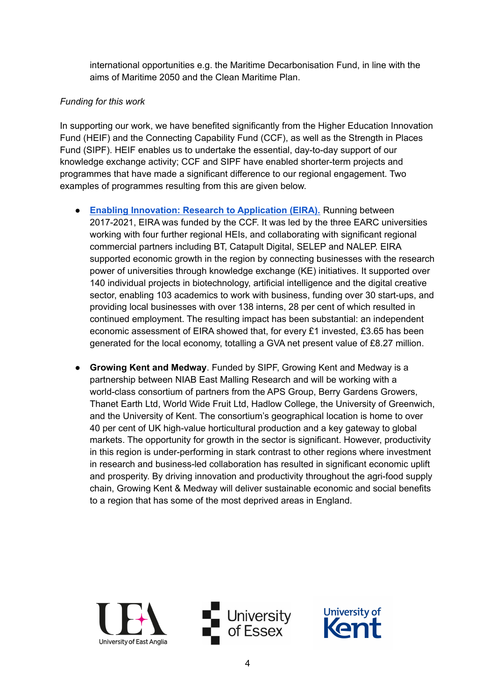international opportunities e.g. the Maritime Decarbonisation Fund, in line with the aims of Maritime 2050 and the Clean Maritime Plan.

## *Funding for this work*

In supporting our work, we have benefited significantly from the Higher Education Innovation Fund (HEIF) and the Connecting Capability Fund (CCF), as well as the Strength in Places Fund (SIPF). HEIF enables us to undertake the essential, day-to-day support of our knowledge exchange activity; CCF and SIPF have enabled shorter-term projects and programmes that have made a significant difference to our regional engagement. Two examples of programmes resulting from this are given below.

- **Enabling Innovation: Research to [Application](https://www.eira.ac.uk/) (EIRA).** Running between 2017-2021, EIRA was funded by the CCF. It was led by the three EARC universities working with four further regional HEIs, and collaborating with significant regional commercial partners including BT, Catapult Digital, SELEP and NALEP. EIRA supported economic growth in the region by connecting businesses with the research power of universities through knowledge exchange (KE) initiatives. It supported over 140 individual projects in biotechnology, artificial intelligence and the digital creative sector, enabling 103 academics to work with business, funding over 30 start-ups, and providing local businesses with over 138 interns, 28 per cent of which resulted in continued employment. The resulting impact has been substantial: an independent economic assessment of EIRA showed that, for every £1 invested, £3.65 has been generated for the local economy, totalling a GVA net present value of £8.27 million.
- **Growing Kent and Medway**. Funded by SIPF, Growing Kent and Medway is a partnership between NIAB East Malling Research and will be working with a world-class consortium of partners from the APS Group, Berry Gardens Growers, Thanet Earth Ltd, World Wide Fruit Ltd, Hadlow College, the University of Greenwich, and the University of Kent. The consortium's geographical location is home to over 40 per cent of UK high-value horticultural production and a key gateway to global markets. The opportunity for growth in the sector is significant. However, productivity in this region is under-performing in stark contrast to other regions where investment in research and business-led collaboration has resulted in significant economic uplift and prosperity. By driving innovation and productivity throughout the agri-food supply chain, Growing Kent & Medway will deliver sustainable economic and social benefits to a region that has some of the most deprived areas in England.





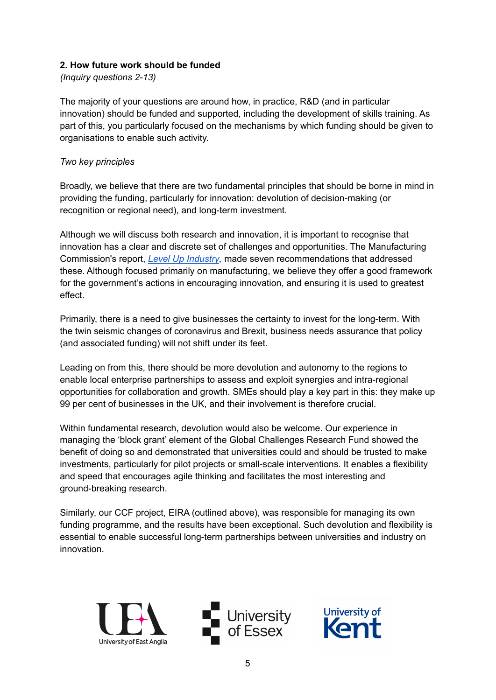### **2. How future work should be funded**

*(Inquiry questions 2-13)*

The majority of your questions are around how, in practice, R&D (and in particular innovation) should be funded and supported, including the development of skills training. As part of this, you particularly focused on the mechanisms by which funding should be given to organisations to enable such activity.

#### *Two key principles*

Broadly, we believe that there are two fundamental principles that should be borne in mind in providing the funding, particularly for innovation: devolution of decision-making (or recognition or regional need), and long-term investment.

Although we will discuss both research and innovation, it is important to recognise that innovation has a clear and discrete set of challenges and opportunities. The Manufacturing Commission's report, *Level Up [Industry](https://www.policyconnect.org.uk/sites/site_pc/files/report/1296/fieldreportdownload/levelupindustry.pdf),* made seven recommendations that addressed these. Although focused primarily on manufacturing, we believe they offer a good framework for the government's actions in encouraging innovation, and ensuring it is used to greatest effect.

Primarily, there is a need to give businesses the certainty to invest for the long-term. With the twin seismic changes of coronavirus and Brexit, business needs assurance that policy (and associated funding) will not shift under its feet.

Leading on from this, there should be more devolution and autonomy to the regions to enable local enterprise partnerships to assess and exploit synergies and intra-regional opportunities for collaboration and growth. SMEs should play a key part in this: they make up 99 per cent of businesses in the UK, and their involvement is therefore crucial.

Within fundamental research, devolution would also be welcome. Our experience in managing the 'block grant' element of the Global Challenges Research Fund showed the benefit of doing so and demonstrated that universities could and should be trusted to make investments, particularly for pilot projects or small-scale interventions. It enables a flexibility and speed that encourages agile thinking and facilitates the most interesting and ground-breaking research.

Similarly, our CCF project, EIRA (outlined above), was responsible for managing its own funding programme, and the results have been exceptional. Such devolution and flexibility is essential to enable successful long-term partnerships between universities and industry on innovation.





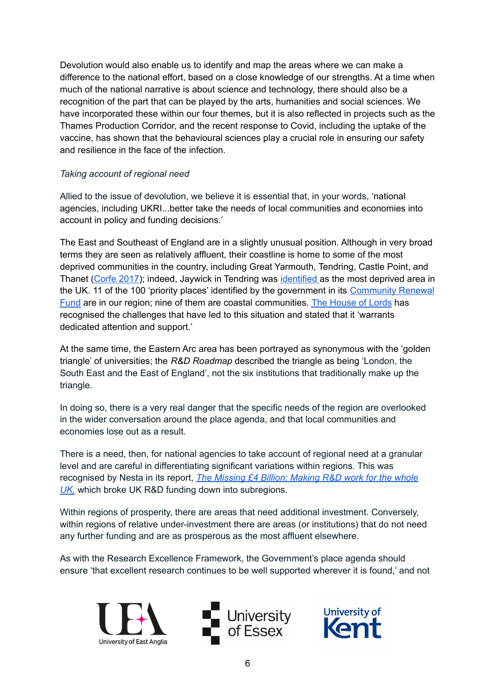Devolution would also enable us to identify and map the areas where we can make a difference to the national effort, based on a close knowledge of our strengths. At a time when much of the national narrative is about science and technology, there should also be a recognition of the part that can be played by the arts, humanities and social sciences. We have incorporated these within our four themes, but it is also reflected in projects such as the Thames Production Corridor, and the recent response to Covid, including the uptake of the vaccine, has shown that the behavioural sciences play a crucial role in ensuring our safety and resilience in the face of the infection.

### *Taking account of regional need*

Allied to the issue of devolution, we believe it is essential that, in your words, 'national agencies, including UKRI...better take the needs of local communities and economies into account in policy and funding decisions.'

The East and Southeast of England are in a slightly unusual position. Although in very broad terms they are seen as relatively affluent, their coastline is home to some of the most deprived communities in the country, including Great Yarmouth, Tendring, Castle Point, and Thanet ([Corfe](https://www.smf.co.uk/publications/living-edge-britains-coastal-communities/) 2017); indeed, Jaywick in Tendring was [identified](https://www.bbc.co.uk/news/uk-england-49812519) as the most deprived area in the UK. 11 of the 100 'priority places' identified by the government in its [Community](https://www.gov.uk/government/publications/uk-community-renewal-fund-prospectus/uk-community-renewal-fund-prioritisation-of-places-methodology-note) Renewal [Fund](https://www.gov.uk/government/publications/uk-community-renewal-fund-prospectus/uk-community-renewal-fund-prioritisation-of-places-methodology-note) are in our region; nine of them are coastal communities. The [House](https://publications.parliament.uk/pa/ld201719/ldselect/ldseaside/320/320.pdf) of Lords has recognised the challenges that have led to this situation and stated that it 'warrants dedicated attention and support.'

At the same time, the Eastern Arc area has been portrayed as synonymous with the 'golden triangle' of universities; the *R&D Roadmap* described the triangle as being 'London, the South East and the East of England', not the six institutions that traditionally make up the triangle.

In doing so, there is a very real danger that the specific needs of the region are overlooked in the wider conversation around the place agenda, and that local communities and economies lose out as a result.

There is a need, then, for national agencies to take account of regional need at a granular level and are careful in differentiating significant variations within regions. This was recognised by Nesta in its report, *The [Missing](https://media.nesta.org.uk/documents/The_Missing_4_Billion_Making_RD_work_for_the_whole_UK_v4.pdf) £4 Billion: Making R&D work for the whole [UK,](https://media.nesta.org.uk/documents/The_Missing_4_Billion_Making_RD_work_for_the_whole_UK_v4.pdf)* which broke UK R&D funding down into subregions.

Within regions of prosperity, there are areas that need additional investment. Conversely, within regions of relative under-investment there are areas (or institutions) that do not need any further funding and are as prosperous as the most affluent elsewhere.

As with the Research Excellence Framework, the Government's place agenda should ensure 'that excellent research continues to be well supported wherever it is found,' and not





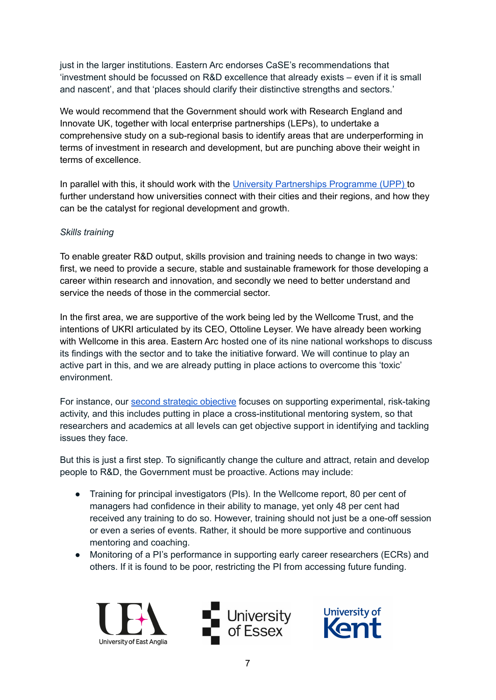just in the larger institutions. Eastern Arc endorses CaSE's recommendations that 'investment should be focussed on R&D excellence that already exists – even if it is small and nascent', and that 'places should clarify their distinctive strengths and sectors.'

We would recommend that the Government should work with Research England and Innovate UK, together with local enterprise partnerships (LEPs), to undertake a comprehensive study on a sub-regional basis to identify areas that are underperforming in terms of investment in research and development, but are punching above their weight in terms of excellence.

In parallel with this, it should work with the University [Partnerships](https://upp-foundation.org/civic-university-commission/) Programme (UPP) to further understand how universities connect with their cities and their regions, and how they can be the catalyst for regional development and growth.

## *Skills training*

To enable greater R&D output, skills provision and training needs to change in two ways: first, we need to provide a secure, stable and sustainable framework for those developing a career within research and innovation, and secondly we need to better understand and service the needs of those in the commercial sector.

In the first area, we are supportive of the work being led by the Wellcome Trust, and the intentions of UKRI articulated by its CEO, Ottoline Leyser. We have already been working with Wellcome in this area. Eastern Arc hosted one of its nine national workshops to discuss its findings with the sector and to take the initiative forward. We will continue to play an active part in this, and we are already putting in place actions to overcome this 'toxic' environment.

For instance, our second strategic [objective](https://easternarc.ac.uk/experimental-risk-taking-activity/) focuses on supporting experimental, risk-taking activity, and this includes putting in place a cross-institutional mentoring system, so that researchers and academics at all levels can get objective support in identifying and tackling issues they face.

But this is just a first step. To significantly change the culture and attract, retain and develop people to R&D, the Government must be proactive. Actions may include:

- Training for principal investigators (PIs). In the Wellcome report, 80 per cent of managers had confidence in their ability to manage, yet only 48 per cent had received any training to do so. However, training should not just be a one-off session or even a series of events. Rather, it should be more supportive and continuous mentoring and coaching.
- Monitoring of a PI's performance in supporting early career researchers (ECRs) and others. If it is found to be poor, restricting the PI from accessing future funding.





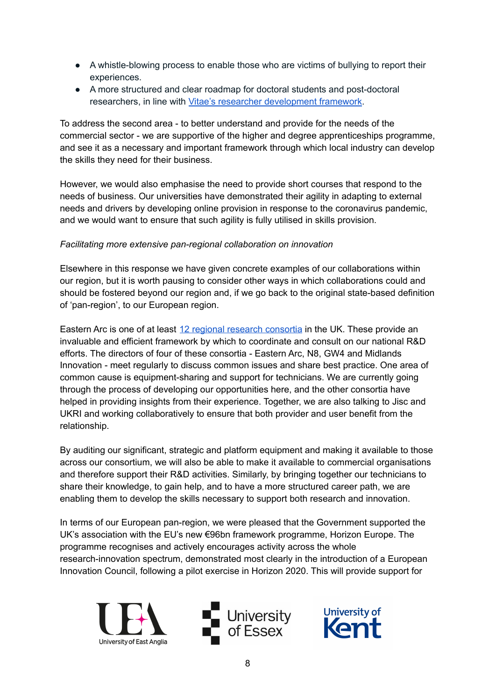- A whistle-blowing process to enable those who are victims of bullying to report their experiences.
- A more structured and clear roadmap for doctoral students and post-doctoral researchers, in line with Vitae's researcher [development](https://www.vitae.ac.uk/researchers-professional-development) framework.

To address the second area - to better understand and provide for the needs of the commercial sector - we are supportive of the higher and degree apprenticeships programme, and see it as a necessary and important framework through which local industry can develop the skills they need for their business.

However, we would also emphasise the need to provide short courses that respond to the needs of business. Our universities have demonstrated their agility in adapting to external needs and drivers by developing online provision in response to the coronavirus pandemic, and we would want to ensure that such agility is fully utilised in skills provision.

## *Facilitating more extensive pan-regional collaboration on innovation*

Elsewhere in this response we have given concrete examples of our collaborations within our region, but it is worth pausing to consider other ways in which collaborations could and should be fostered beyond our region and, if we go back to the original state-based definition of 'pan-region', to our European region.

Eastern Arc is one of at least 12 regional research [consortia](https://easternarc.ac.uk/regional-consortia/) in the UK. These provide an invaluable and efficient framework by which to coordinate and consult on our national R&D efforts. The directors of four of these consortia - Eastern Arc, N8, GW4 and Midlands Innovation - meet regularly to discuss common issues and share best practice. One area of common cause is equipment-sharing and support for technicians. We are currently going through the process of developing our opportunities here, and the other consortia have helped in providing insights from their experience. Together, we are also talking to Jisc and UKRI and working collaboratively to ensure that both provider and user benefit from the relationship.

By auditing our significant, strategic and platform equipment and making it available to those across our consortium, we will also be able to make it available to commercial organisations and therefore support their R&D activities. Similarly, by bringing together our technicians to share their knowledge, to gain help, and to have a more structured career path, we are enabling them to develop the skills necessary to support both research and innovation.

In terms of our European pan-region, we were pleased that the Government supported the UK's association with the EU's new €96bn framework programme, Horizon Europe. The programme recognises and actively encourages activity across the whole research-innovation spectrum, demonstrated most clearly in the introduction of a European Innovation Council, following a pilot exercise in Horizon 2020. This will provide support for





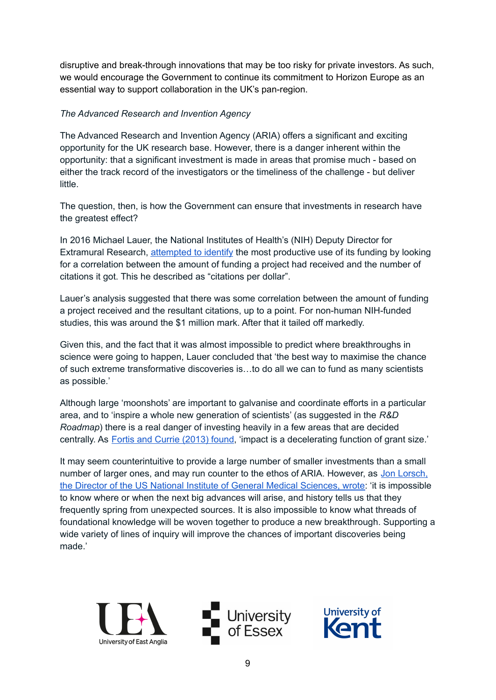disruptive and break-through innovations that may be too risky for private investors. As such, we would encourage the Government to continue its commitment to Horizon Europe as an essential way to support collaboration in the UK's pan-region.

### *The Advanced Research and Invention Agency*

The Advanced Research and Invention Agency (ARIA) offers a significant and exciting opportunity for the UK research base. However, there is a danger inherent within the opportunity: that a significant investment is made in areas that promise much - based on either the track record of the investigators or the timeliness of the challenge - but deliver little.

The question, then, is how the Government can ensure that investments in research have the greatest effect?

In 2016 Michael Lauer, the National Institutes of Health's (NIH) Deputy Director for Extramural Research, [attempted](https://nexus.od.nih.gov/all/2016/04/28/citations-per-dollar/?utm_source=nexus&utm_medium=email&utm_content=nihupdate&utm_campaign=apr16) to identify the most productive use of its funding by looking for a correlation between the amount of funding a project had received and the number of citations it got. This he described as "citations per dollar".

Lauer's analysis suggested that there was some correlation between the amount of funding a project received and the resultant citations, up to a point. For non-human NIH-funded studies, this was around the \$1 million mark. After that it tailed off markedly.

Given this, and the fact that it was almost impossible to predict where breakthroughs in science were going to happen, Lauer concluded that 'the best way to maximise the chance of such extreme transformative discoveries is…to do all we can to fund as many scientists as possible.'

Although large 'moonshots' are important to galvanise and coordinate efforts in a particular area, and to 'inspire a whole new generation of scientists' (as suggested in the *R&D Roadmap*) there is a real danger of investing heavily in a few areas that are decided centrally. As **Fortis and Currie [\(2013\)](https://journals.plos.org/plosone/article?id=10.1371/journal.pone.0065263) found**, 'impact is a decelerating function of grant size.'

It may seem counterintuitive to provide a large number of smaller investments than a small number of larger ones, and may run counter to the ethos of ARIA. However, as Jon [Lorsch,](https://www.molbiolcell.org/doi/pdf/10.1091/mbc.e14-06-1163) the Director of the US National Institute of General Medical [Sciences,](https://www.molbiolcell.org/doi/pdf/10.1091/mbc.e14-06-1163) wrote: 'it is impossible to know where or when the next big advances will arise, and history tells us that they frequently spring from unexpected sources. It is also impossible to know what threads of foundational knowledge will be woven together to produce a new breakthrough. Supporting a wide variety of lines of inquiry will improve the chances of important discoveries being made.'





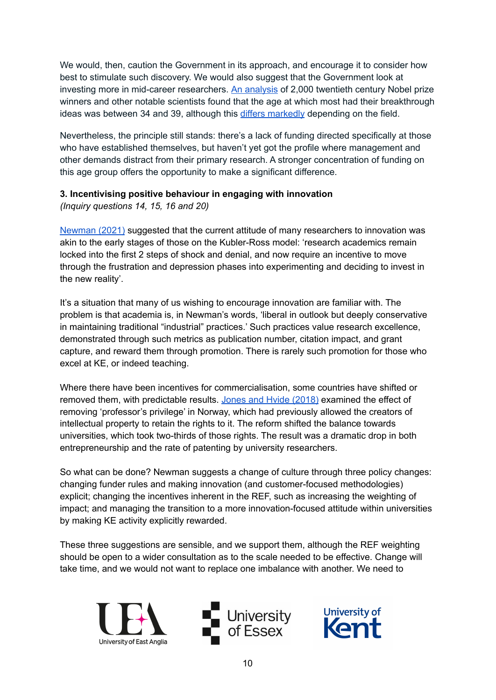We would, then, caution the Government in its approach, and encourage it to consider how best to stimulate such discovery. We would also suggest that the Government look at investing more in mid-career researchers. An [analysis](https://www.nber.org/papers/w11359) of 2,000 twentieth century Nobel prize winners and other notable scientists found that the age at which most had their breakthrough ideas was between 34 and 39, although this differs [markedly](https://www.pnas.org/content/108/47/18910/) depending on the field.

Nevertheless, the principle still stands: there's a lack of funding directed specifically at those who have established themselves, but haven't yet got the profile where management and other demands distract from their primary research. A stronger concentration of funding on this age group offers the opportunity to make a significant difference.

## **3. Incentivising positive behaviour in engaging with innovation**

*(Inquiry questions 14, 15, 16 and 20)*

[Newman](https://www.foundation.org.uk/Blog/2021/Changing-the-Research-Excellence-Funding-Game-to-E) (2021) suggested that the current attitude of many researchers to innovation was akin to the early stages of those on the Kubler-Ross model: 'research academics remain locked into the first 2 steps of shock and denial, and now require an incentive to move through the frustration and depression phases into experimenting and deciding to invest in the new reality'.

It's a situation that many of us wishing to encourage innovation are familiar with. The problem is that academia is, in Newman's words, 'liberal in outlook but deeply conservative in maintaining traditional "industrial" practices.' Such practices value research excellence, demonstrated through such metrics as publication number, citation impact, and grant capture, and reward them through promotion. There is rarely such promotion for those who excel at KE, or indeed teaching.

Where there have been incentives for commercialisation, some countries have shifted or removed them, with predictable results. Jones and Hvide [\(2018\)](https://www.aeaweb.org/articles?id=10.1257/aer.20160284) examined the effect of removing 'professor's privilege' in Norway, which had previously allowed the creators of intellectual property to retain the rights to it. The reform shifted the balance towards universities, which took two-thirds of those rights. The result was a dramatic drop in both entrepreneurship and the rate of patenting by university researchers.

So what can be done? Newman suggests a change of culture through three policy changes: changing funder rules and making innovation (and customer-focused methodologies) explicit; changing the incentives inherent in the REF, such as increasing the weighting of impact; and managing the transition to a more innovation-focused attitude within universities by making KE activity explicitly rewarded.

These three suggestions are sensible, and we support them, although the REF weighting should be open to a wider consultation as to the scale needed to be effective. Change will take time, and we would not want to replace one imbalance with another. We need to





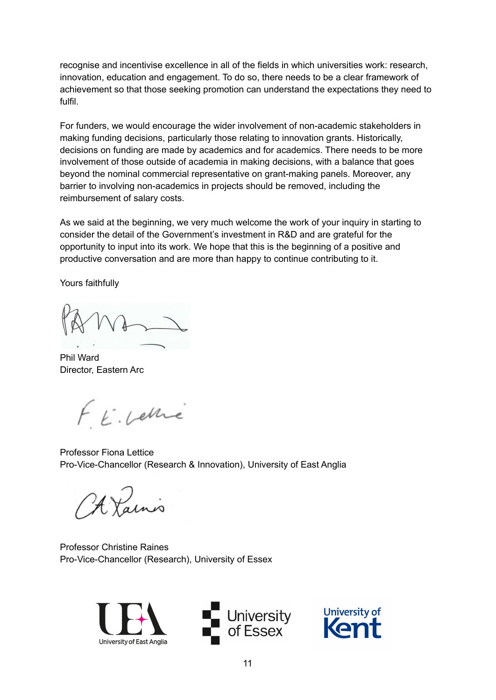recognise and incentivise excellence in all of the fields in which universities work: research, innovation, education and engagement. To do so, there needs to be a clear framework of achievement so that those seeking promotion can understand the expectations they need to fulfil.

For funders, we would encourage the wider involvement of non-academic stakeholders in making funding decisions, particularly those relating to innovation grants. Historically, decisions on funding are made by academics and for academics. There needs to be more involvement of those outside of academia in making decisions, with a balance that goes beyond the nominal commercial representative on grant-making panels. Moreover, any barrier to involving non-academics in projects should be removed, including the reimbursement of salary costs.

As we said at the beginning, we very much welcome the work of your inquiry in starting to consider the detail of the Government's investment in R&D and are grateful for the opportunity to input into its work. We hope that this is the beginning of a positive and productive conversation and are more than happy to continue contributing to it.

Yours faithfully

Phil Ward Director, Eastern Arc

FE. Lettre

Professor Fiona Lettice Pro-Vice-Chancellor (Research & Innovation), University of East Anglia

A Vaino

Professor Christine Raines Pro-Vice-Chancellor (Research), University of Essex